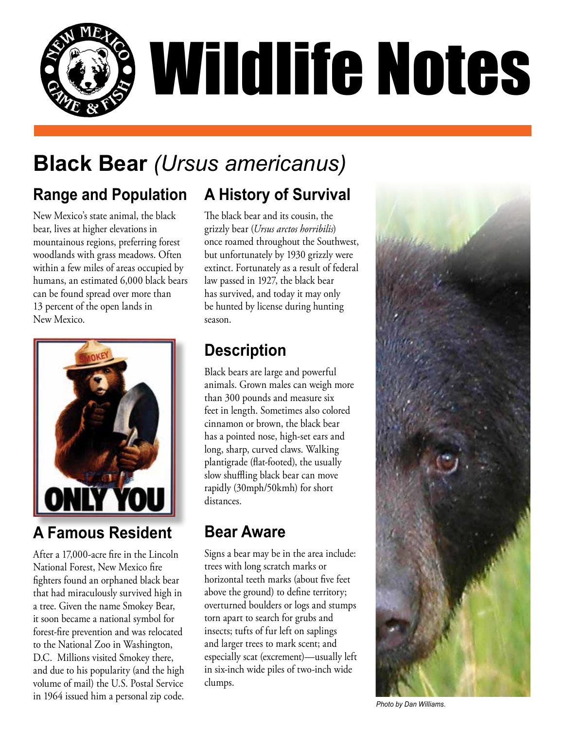

# **Black Bear** *(Ursus americanus)*

# **Range and Population**

New Mexico's state animal, the black bear, lives at higher elevations in mountainous regions, preferring forest woodlands with grass meadows. Often within a few miles of areas occupied by humans, an estimated 6,000 black bears can be found spread over more than 13 percent of the open lands in New Mexico.



# **A Famous Resident**

After a 17,000-acre fire in the Lincoln National Forest, New Mexico fire fighters found an orphaned black bear that had miraculously survived high in a tree. Given the name Smokey Bear, it soon became a national symbol for forest-fire prevention and was relocated to the National Zoo in Washington, D.C. Millions visited Smokey there, and due to his popularity (and the high volume of mail) the U.S. Postal Service in 1964 issued him a personal zip code.

The black bear and its cousin, the grizzly bear (*Ursus arctos horribilis*) once roamed throughout the Southwest, but unfortunately by 1930 grizzly were extinct. Fortunately as a result of federal law passed in 1927, the black bear has survived, and today it may only be hunted by license during hunting season.

**A History of Survival**

### **Description**

Black bears are large and powerful animals. Grown males can weigh more than 300 pounds and measure six feet in length. Sometimes also colored cinnamon or brown, the black bear has a pointed nose, high-set ears and long, sharp, curved claws. Walking plantigrade (flat-footed), the usually slow shuffling black bear can move rapidly (30mph/50kmh) for short distances.

### **Bear Aware**

Signs a bear may be in the area include: trees with long scratch marks or horizontal teeth marks (about five feet above the ground) to define territory; overturned boulders or logs and stumps torn apart to search for grubs and insects; tufts of fur left on saplings and larger trees to mark scent; and especially scat (excrement)—usually left in six-inch wide piles of two-inch wide clumps.



*Photo by Dan Williams.*